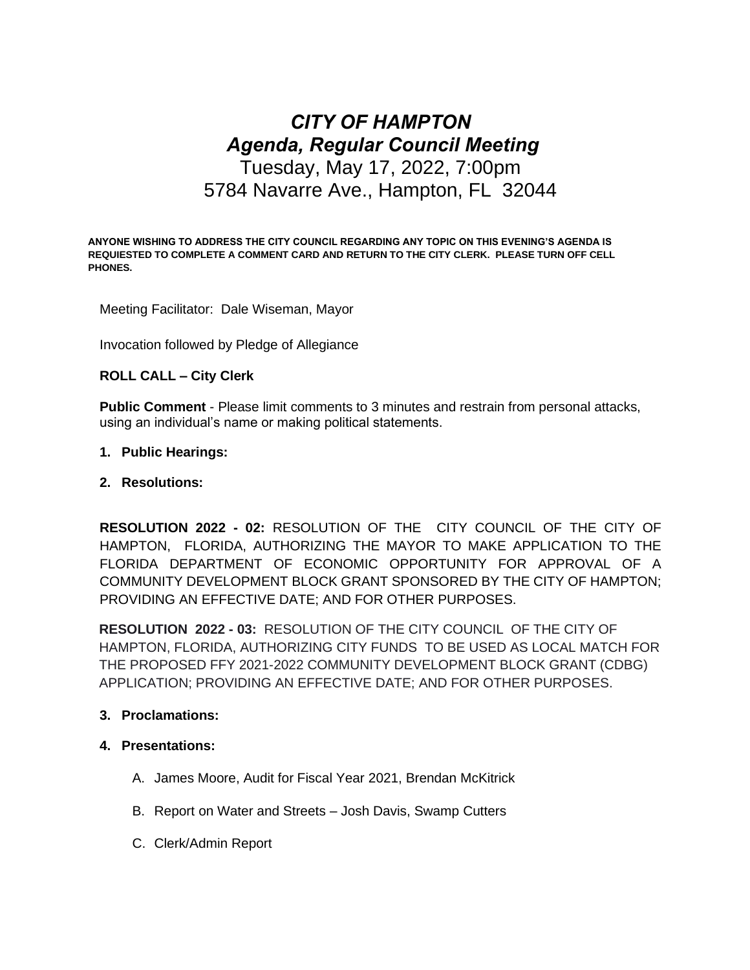# *CITY OF HAMPTON Agenda, Regular Council Meeting* Tuesday, May 17, 2022, 7:00pm 5784 Navarre Ave., Hampton, FL 32044

**ANYONE WISHING TO ADDRESS THE CITY COUNCIL REGARDING ANY TOPIC ON THIS EVENING'S AGENDA IS REQUIESTED TO COMPLETE A COMMENT CARD AND RETURN TO THE CITY CLERK. PLEASE TURN OFF CELL PHONES.**

Meeting Facilitator: Dale Wiseman, Mayor

Invocation followed by Pledge of Allegiance

# **ROLL CALL – City Clerk**

**Public Comment** - Please limit comments to 3 minutes and restrain from personal attacks, using an individual's name or making political statements.

# **1. Public Hearings:**

# **2. Resolutions:**

**RESOLUTION 2022 - 02:** RESOLUTION OF THE CITY COUNCIL OF THE CITY OF HAMPTON, FLORIDA, AUTHORIZING THE MAYOR TO MAKE APPLICATION TO THE FLORIDA DEPARTMENT OF ECONOMIC OPPORTUNITY FOR APPROVAL OF A COMMUNITY DEVELOPMENT BLOCK GRANT SPONSORED BY THE CITY OF HAMPTON; PROVIDING AN EFFECTIVE DATE; AND FOR OTHER PURPOSES.

**RESOLUTION 2022 - 03:** RESOLUTION OF THE CITY COUNCIL OF THE CITY OF HAMPTON, FLORIDA, AUTHORIZING CITY FUNDS TO BE USED AS LOCAL MATCH FOR THE PROPOSED FFY 2021-2022 COMMUNITY DEVELOPMENT BLOCK GRANT (CDBG) APPLICATION; PROVIDING AN EFFECTIVE DATE; AND FOR OTHER PURPOSES.

# **3. Proclamations:**

# **4. Presentations:**

- A. James Moore, Audit for Fiscal Year 2021, Brendan McKitrick
- B. Report on Water and Streets Josh Davis, Swamp Cutters
- C. Clerk/Admin Report